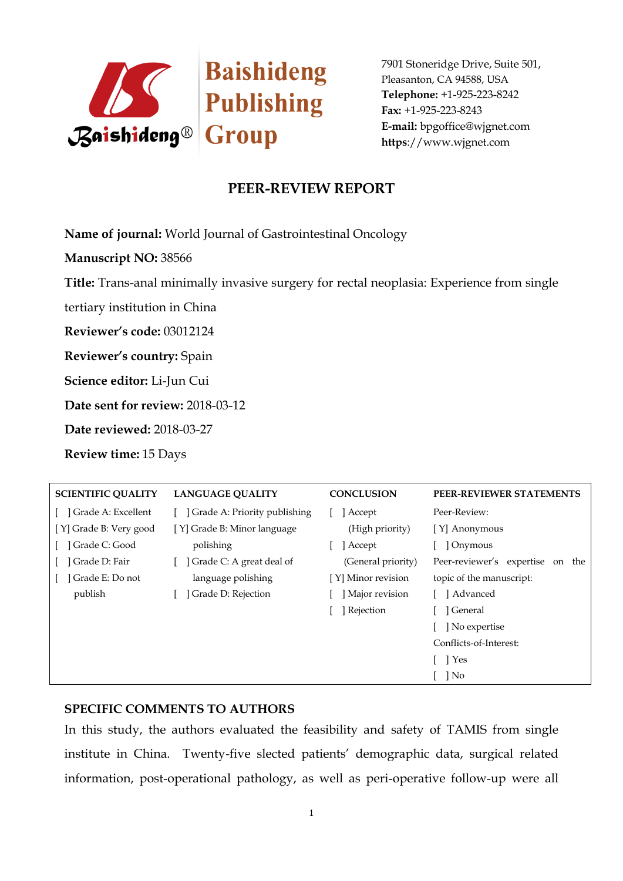

## **PEER-REVIEW REPORT**

**Name of journal:** World Journal of Gastrointestinal Oncology

**Manuscript NO:** 38566

**Title:** Trans-anal minimally invasive surgery for rectal neoplasia: Experience from single

tertiary institution in China

**Reviewer's code:** 03012124

**Reviewer's country:** Spain

**Science editor:** Li-Jun Cui

**Date sent for review:** 2018-03-12

**Date reviewed:** 2018-03-27

**Review time:** 15 Days

| <b>SCIENTIFIC QUALITY</b> | <b>LANGUAGE OUALITY</b>      | <b>CONCLUSION</b>  | PEER-REVIEWER STATEMENTS            |
|---------------------------|------------------------------|--------------------|-------------------------------------|
| Grade A: Excellent        | Grade A: Priority publishing | Accept             | Peer-Review:                        |
| [Y] Grade B: Very good    | [Y] Grade B: Minor language  | (High priority)    | [Y] Anonymous                       |
| Grade C: Good             | polishing                    | Accept             | ] Onymous                           |
| Grade D: Fair             | Grade C: A great deal of     | (General priority) | Peer-reviewer's expertise<br>on the |
| Grade E: Do not           | language polishing           | [Y] Minor revision | topic of the manuscript:            |
| publish                   | Grade D: Rejection           | Major revision     | [ ] Advanced                        |
|                           |                              | ] Rejection        | l General                           |
|                           |                              |                    | No expertise                        |
|                           |                              |                    | Conflicts-of-Interest:              |
|                           |                              |                    | $\Box$ Yes                          |
|                           |                              |                    | $\log$                              |

#### **SPECIFIC COMMENTS TO AUTHORS**

In this study, the authors evaluated the feasibility and safety of TAMIS from single institute in China. Twenty-five slected patients' demographic data, surgical related information, post-operational pathology, as well as peri-operative follow-up were all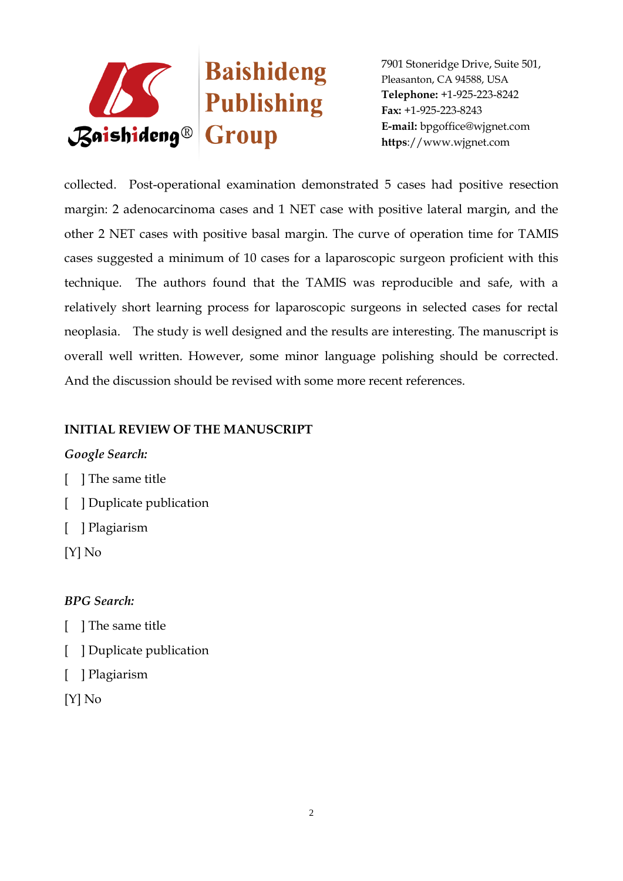

collected. Post-operational examination demonstrated 5 cases had positive resection margin: 2 adenocarcinoma cases and 1 NET case with positive lateral margin, and the other 2 NET cases with positive basal margin. The curve of operation time for TAMIS cases suggested a minimum of 10 cases for a laparoscopic surgeon proficient with this technique. The authors found that the TAMIS was reproducible and safe, with a relatively short learning process for laparoscopic surgeons in selected cases for rectal neoplasia. The study is well designed and the results are interesting. The manuscript is overall well written. However, some minor language polishing should be corrected. And the discussion should be revised with some more recent references.

#### **INITIAL REVIEW OF THE MANUSCRIPT**

## *Google Search:*

- [ ] The same title
- [ ] Duplicate publication
- [ ] Plagiarism
- [Y] No

## *BPG Search:*

- [ ] The same title
- [ ] Duplicate publication
- [ ] Plagiarism
- [Y] No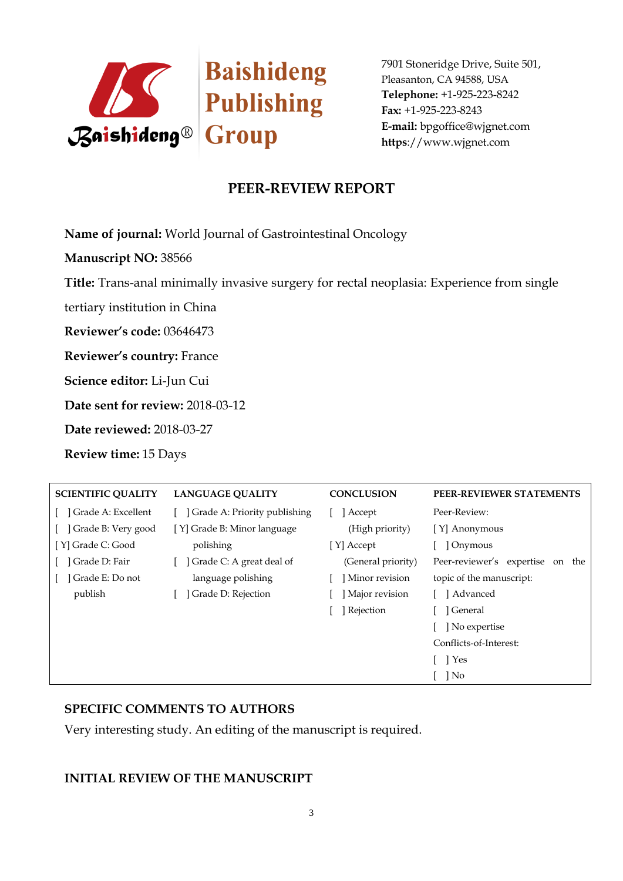

# **PEER-REVIEW REPORT**

**Name of journal:** World Journal of Gastrointestinal Oncology

**Manuscript NO:** 38566

**Title:** Trans-anal minimally invasive surgery for rectal neoplasia: Experience from single

tertiary institution in China

**Reviewer's code:** 03646473

**Reviewer's country:** France

**Science editor:** Li-Jun Cui

**Date sent for review:** 2018-03-12

**Date reviewed:** 2018-03-27

**Review time:** 15 Days

| <b>SCIENTIFIC QUALITY</b> | <b>LANGUAGE OUALITY</b>      | <b>CONCLUSION</b>  | PEER-REVIEWER STATEMENTS            |
|---------------------------|------------------------------|--------------------|-------------------------------------|
| ] Grade A: Excellent      | Grade A: Priority publishing | Accept             | Peer-Review:                        |
| Grade B: Very good        | [Y] Grade B: Minor language  | (High priority)    | [Y] Anonymous                       |
| [Y] Grade C: Good         | polishing                    | [ Y] Accept        | ] Onymous                           |
| Grade D: Fair             | Grade C: A great deal of     | (General priority) | Peer-reviewer's expertise<br>on the |
| Grade E: Do not           | language polishing           | Minor revision     | topic of the manuscript:            |
| publish                   | Grade D: Rejection           | Major revision     | ] Advanced                          |
|                           |                              | ] Rejection        | ] General                           |
|                           |                              |                    | No expertise                        |
|                           |                              |                    | Conflicts-of-Interest:              |
|                           |                              |                    | 1 Yes                               |
|                           |                              |                    | No                                  |

## **SPECIFIC COMMENTS TO AUTHORS**

Very interesting study. An editing of the manuscript is required.

## **INITIAL REVIEW OF THE MANUSCRIPT**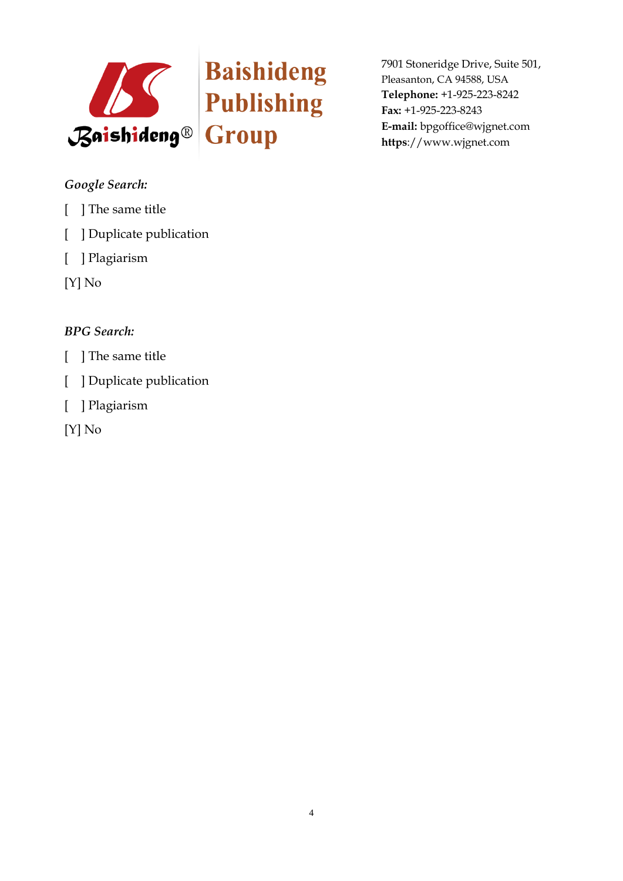

## *Google Search:*

- [ ] The same title
- [ ] Duplicate publication
- [ ] Plagiarism
- [Y] No

# *BPG Search:*

- [ ] The same title
- [ ] Duplicate publication
- [ ] Plagiarism
- [Y] No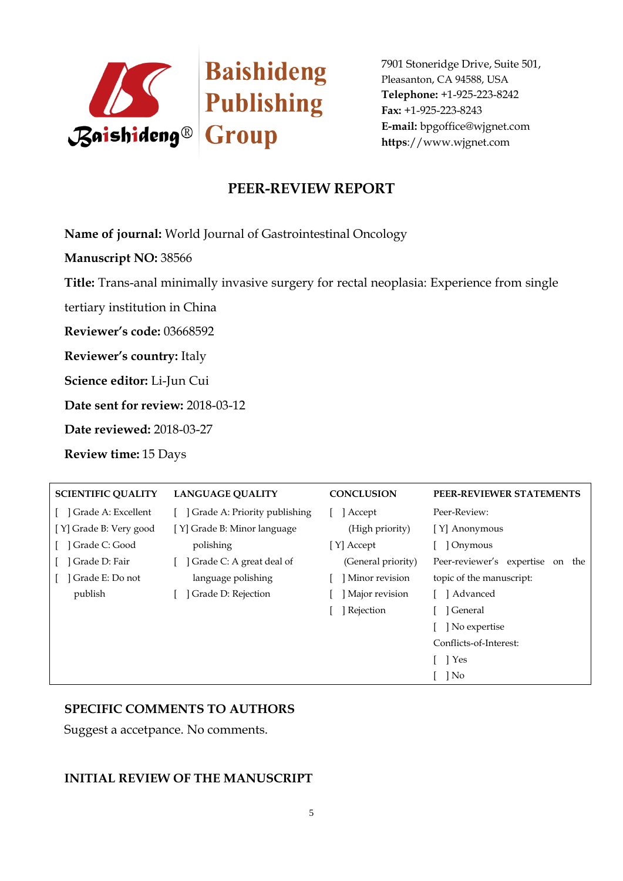

## **PEER-REVIEW REPORT**

**Name of journal:** World Journal of Gastrointestinal Oncology

**Manuscript NO:** 38566

**Title:** Trans-anal minimally invasive surgery for rectal neoplasia: Experience from single

tertiary institution in China

**Reviewer's code:** 03668592

**Reviewer's country:** Italy

**Science editor:** Li-Jun Cui

**Date sent for review:** 2018-03-12

**Date reviewed:** 2018-03-27

**Review time:** 15 Days

| <b>SCIENTIFIC QUALITY</b> | <b>LANGUAGE OUALITY</b>        | <b>CONCLUSION</b>  | PEER-REVIEWER STATEMENTS            |
|---------------------------|--------------------------------|--------------------|-------------------------------------|
| ] Grade A: Excellent      | [Crade A: Priority publishing] | Accept             | Peer-Review:                        |
| [Y] Grade B: Very good    | [Y] Grade B: Minor language    | (High priority)    | [Y] Anonymous                       |
| Grade C: Good             | polishing                      | [ Y] Accept        | Onymous                             |
| Grade D: Fair             | Grade C: A great deal of       | (General priority) | Peer-reviewer's expertise<br>on the |
| Grade E: Do not           | language polishing             | Minor revision     | topic of the manuscript:            |
| publish                   | Grade D: Rejection             | Major revision     | ] Advanced                          |
|                           |                                | Rejection          | l General                           |
|                           |                                |                    | No expertise                        |
|                           |                                |                    | Conflicts-of-Interest:              |
|                           |                                |                    | 1 Yes                               |
|                           |                                |                    | No                                  |

## **SPECIFIC COMMENTS TO AUTHORS**

Suggest a accetpance. No comments.

#### **INITIAL REVIEW OF THE MANUSCRIPT**